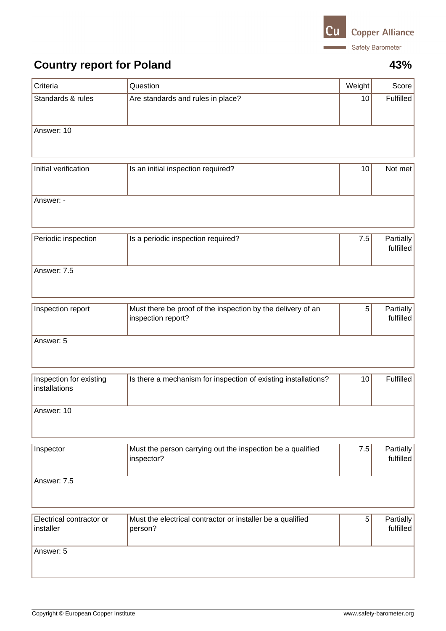

## **Country report for Poland 43%**

| Criteria                                 | Question                                                                          | Weight | Score                  |
|------------------------------------------|-----------------------------------------------------------------------------------|--------|------------------------|
| Standards & rules                        | Are standards and rules in place?                                                 | 10     | Fulfilled              |
| Answer: 10                               |                                                                                   |        |                        |
| Initial verification                     | Is an initial inspection required?                                                | 10     | Not met                |
| Answer: -                                |                                                                                   |        |                        |
| Periodic inspection                      | Is a periodic inspection required?                                                | 7.5    | Partially<br>fulfilled |
| Answer: 7.5                              |                                                                                   |        |                        |
| Inspection report                        | Must there be proof of the inspection by the delivery of an<br>inspection report? | 5      | Partially<br>fulfilled |
| Answer: 5                                |                                                                                   |        |                        |
| Inspection for existing<br>installations | Is there a mechanism for inspection of existing installations?                    | 10     | Fulfilled              |
| Answer: 10                               |                                                                                   |        |                        |
| Inspector                                | Must the person carrying out the inspection be a qualified<br>inspector?          | 7.5    | Partially<br>fulfilled |
| Answer: 7.5                              |                                                                                   |        |                        |
| Electrical contractor or<br>installer    | Must the electrical contractor or installer be a qualified<br>person?             | 5      | Partially<br>fulfilled |
| Answer: 5                                |                                                                                   |        |                        |